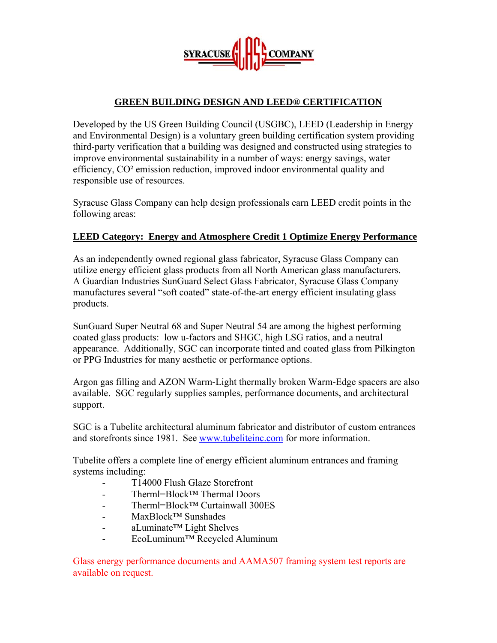**SYRACUSE** 

# **GREEN BUILDING DESIGN AND LEED® CERTIFICATION**

Developed by the US Green Building Council (USGBC), LEED (Leadership in Energy and Environmental Design) is a voluntary green building certification system providing third-party verification that a building was designed and constructed using strategies to improve environmental sustainability in a number of ways: energy savings, water efficiency, CO² emission reduction, improved indoor environmental quality and responsible use of resources.

Syracuse Glass Company can help design professionals earn LEED credit points in the following areas:

## **LEED Category: Energy and Atmosphere Credit 1 Optimize Energy Performance**

As an independently owned regional glass fabricator, Syracuse Glass Company can utilize energy efficient glass products from all North American glass manufacturers. A Guardian Industries SunGuard Select Glass Fabricator, Syracuse Glass Company manufactures several "soft coated" state-of-the-art energy efficient insulating glass products.

SunGuard Super Neutral 68 and Super Neutral 54 are among the highest performing coated glass products: low u-factors and SHGC, high LSG ratios, and a neutral appearance. Additionally, SGC can incorporate tinted and coated glass from Pilkington or PPG Industries for many aesthetic or performance options.

Argon gas filling and AZON Warm-Light thermally broken Warm-Edge spacers are also available. SGC regularly supplies samples, performance documents, and architectural support.

SGC is a Tubelite architectural aluminum fabricator and distributor of custom entrances and storefronts since 1981. See www.tubeliteinc.com for more information.

Tubelite offers a complete line of energy efficient aluminum entrances and framing systems including:

- T14000 Flush Glaze Storefront
- Therml=Block™ Thermal Doors
- Therml=Block™ Curtainwall 300ES
- MaxBlock™ Sunshades
- aLuminate™ Light Shelves
- EcoLuminum™ Recycled Aluminum

Glass energy performance documents and AAMA507 framing system test reports are available on request.